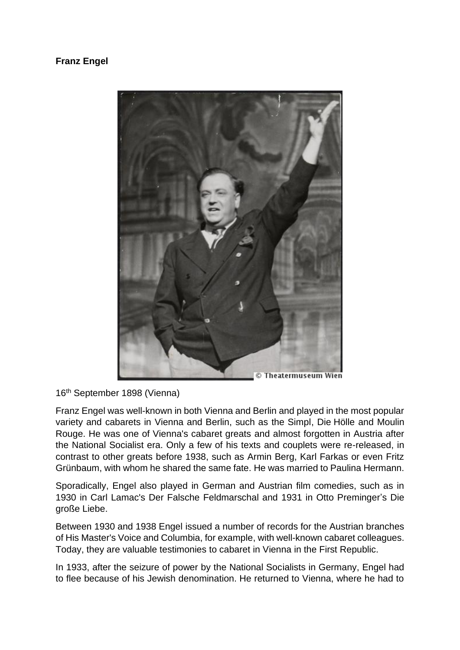## **Franz Engel**



16th September 1898 (Vienna)

Franz Engel was well-known in both Vienna and Berlin and played in the most popular variety and cabarets in Vienna and Berlin, such as the Simpl, Die Hölle and Moulin Rouge. He was one of Vienna's cabaret greats and almost forgotten in Austria after the National Socialist era. Only a few of his texts and couplets were re-released, in contrast to other greats before 1938, such as Armin Berg, Karl Farkas or even Fritz Grünbaum, with whom he shared the same fate. He was married to Paulina Hermann.

Sporadically, Engel also played in German and Austrian film comedies, such as in 1930 in Carl Lamac's Der Falsche Feldmarschal and 1931 in Otto Preminger's Die große Liebe.

Between 1930 and 1938 Engel issued a number of records for the Austrian branches of His Master's Voice and Columbia, for example, with well-known cabaret colleagues. Today, they are valuable testimonies to cabaret in Vienna in the First Republic.

In 1933, after the seizure of power by the National Socialists in Germany, Engel had to flee because of his Jewish denomination. He returned to Vienna, where he had to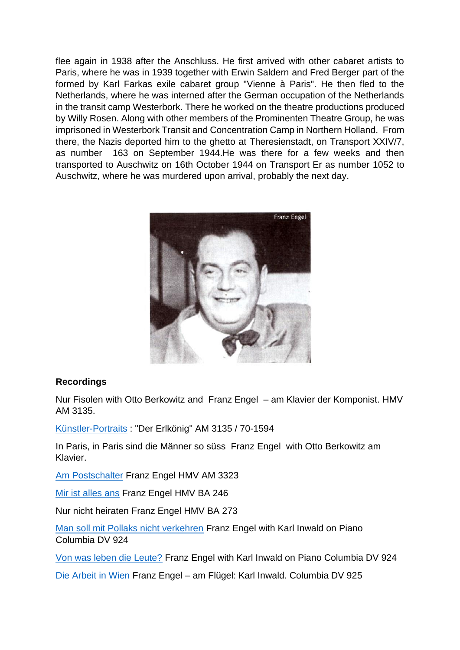flee again in 1938 after the Anschluss. He first arrived with other cabaret artists to Paris, where he was in 1939 together with Erwin Saldern and Fred Berger part of the formed by Karl Farkas exile cabaret group "Vienne à Paris". He then fled to the Netherlands, where he was interned after the German occupation of the Netherlands in the transit camp Westerbork. There he worked on the theatre productions produced by Willy Rosen. Along with other members of the Prominenten Theatre Group, he was imprisoned in Westerbork Transit and Concentration Camp in Northern Holland. From there, the Nazis deported him to the ghetto at Theresienstadt, on Transport XXIV/7, as number 163 on September 1944.He was there for a few weeks and then transported to Auschwitz on 16th October 1944 on Transport Er as number 1052 to Auschwitz, where he was murdered upon arrival, probably the next day.



## **Recordings**

Nur Fisolen with Otto Berkowitz and Franz Engel – am Klavier der Komponist. HMV AM 3135.

[Künstler-Portraits](https://youtu.be/acCOZXIuy0Y) : "Der Erlkönig" AM 3135 / 70-1594

In Paris, in Paris sind die Männer so süss Franz Engel with Otto Berkowitz am Klavier.

[Am Postschalter](https://youtu.be/EA9e_vobdFU) Franz Engel HMV AM 3323

[Mir ist alles ans](https://youtu.be/q9aeSQ-VNkg) Franz Engel HMV BA 246

Nur nicht heiraten Franz Engel HMV BA 273

[Man soll mit Pollaks nicht verkehren](https://youtu.be/0gwRbxsR_O0) Franz Engel with Karl Inwald on Piano Columbia DV 924

[Von was leben die Leute?](https://youtu.be/0tbDuq4o-io) Franz Engel with Karl Inwald on Piano Columbia DV 924

[Die Arbeit in Wien](https://youtu.be/jImc5a8Z-4c) Franz Engel – am Flügel: Karl Inwald. Columbia DV 925